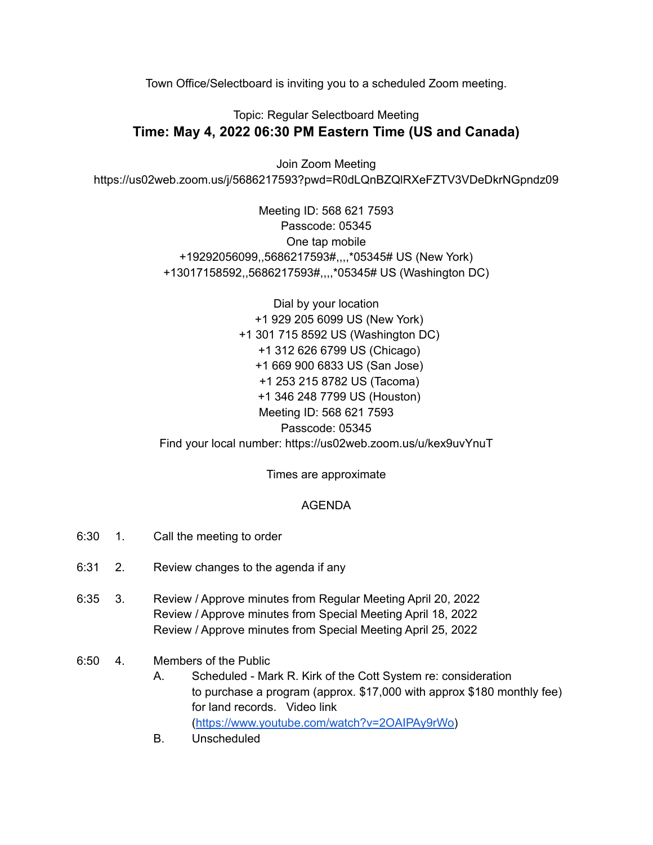Town Office/Selectboard is inviting you to a scheduled Zoom meeting.

## Topic: Regular Selectboard Meeting **Time: May 4, 2022 06:30 PM Eastern Time (US and Canada)**

Join Zoom Meeting https://us02web.zoom.us/j/5686217593?pwd=R0dLQnBZQlRXeFZTV3VDeDkrNGpndz09

> Meeting ID: 568 621 7593 Passcode: 05345 One tap mobile +19292056099,,5686217593#,,,,\*05345# US (New York) +13017158592,,5686217593#,,,,\*05345# US (Washington DC)

Dial by your location +1 929 205 6099 US (New York) +1 301 715 8592 US (Washington DC) +1 312 626 6799 US (Chicago) +1 669 900 6833 US (San Jose) +1 253 215 8782 US (Tacoma) +1 346 248 7799 US (Houston) Meeting ID: 568 621 7593 Passcode: 05345 Find your local number: https://us02web.zoom.us/u/kex9uvYnuT

Times are approximate

## AGENDA

- 6:30 1. Call the meeting to order
- 6:31 2. Review changes to the agenda if any
- 6:35 3. Review / Approve minutes from Regular Meeting April 20, 2022 Review / Approve minutes from Special Meeting April 18, 2022 Review / Approve minutes from Special Meeting April 25, 2022
- 6:50 4. Members of the Public
	- A. Scheduled Mark R. Kirk of the Cott System re: consideration to purchase a program (approx. \$17,000 with approx \$180 monthly fee) for land records. Video link ([https://www.youtube.com/watch?v=2OAIPAy9rWo\)](https://www.youtube.com/watch?v=2OAIPAy9rWo)
	- B. Unscheduled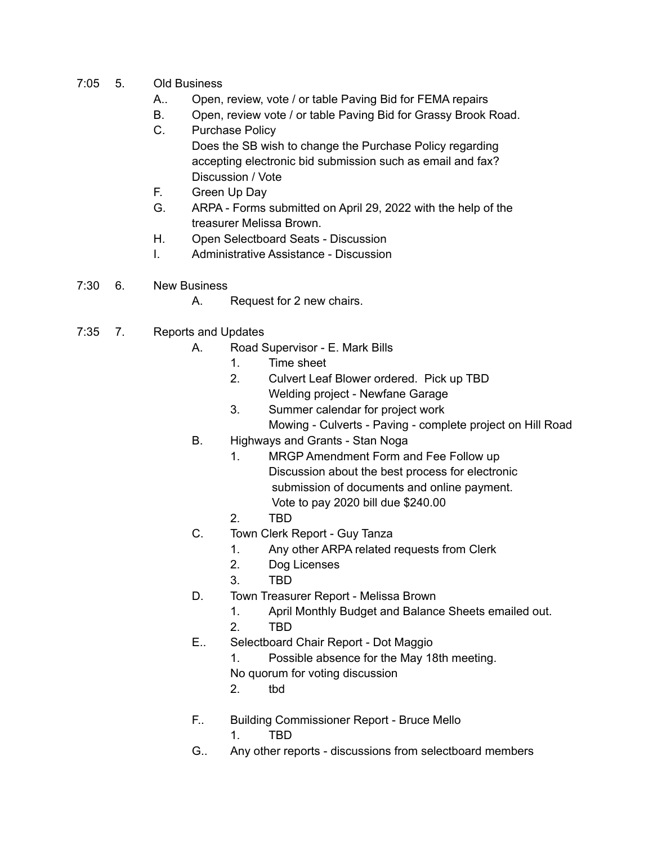- 7:05 5. Old Business
	- A.. Open, review, vote / or table Paving Bid for FEMA repairs
	- B. Open, review vote / or table Paving Bid for Grassy Brook Road.
	- C. Purchase Policy
		- Does the SB wish to change the Purchase Policy regarding accepting electronic bid submission such as email and fax? Discussion / Vote
	- F. Green Up Day
	- G. ARPA Forms submitted on April 29, 2022 with the help of the treasurer Melissa Brown.
	- H. Open Selectboard Seats Discussion
	- I. Administrative Assistance Discussion
- 7:30 6. New Business
	- A. Request for 2 new chairs.
- 7:35 7. Reports and Updates
	- A. Road Supervisor E. Mark Bills
		- 1. Time sheet
		- 2. Culvert Leaf Blower ordered. Pick up TBD Welding project - Newfane Garage
		- 3. Summer calendar for project work Mowing - Culverts - Paving - complete project on Hill Road
	- B. Highways and Grants Stan Noga
		- 1. MRGP Amendment Form and Fee Follow up Discussion about the best process for electronic submission of documents and online payment. Vote to pay 2020 bill due \$240.00
		- 2. TBD
	- C. Town Clerk Report Guy Tanza
		- 1. Any other ARPA related requests from Clerk
		- 2. Dog Licenses
		- 3. TBD
	- D. Town Treasurer Report Melissa Brown
		- 1. April Monthly Budget and Balance Sheets emailed out.
		- 2. TBD
	- E.. Selectboard Chair Report Dot Maggio
		- 1. Possible absence for the May 18th meeting.
		- No quorum for voting discussion
		- 2. tbd
	- F.. Building Commissioner Report Bruce Mello
		- 1. TBD
	- G.. Any other reports discussions from selectboard members